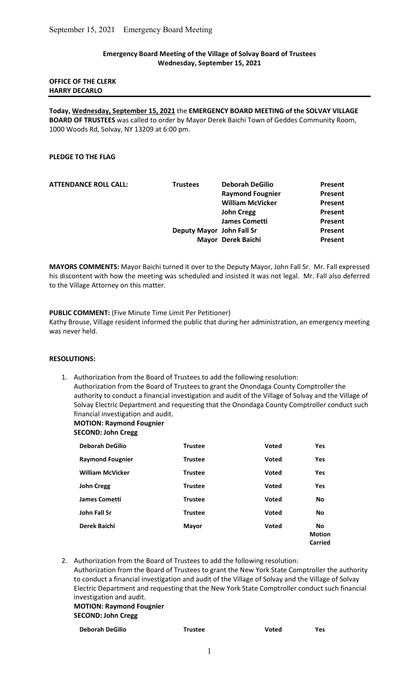## Emergency Board Meeting of the Village of Solvay Board of Trustees Wednesday, September 15, 2021

# OFFICE OF THE CLERK HARRY DECARLO

Today, Wednesday, September 15, 2021 the EMERGENCY BOARD MEETING of the SOLVAY VILLAGE BOARD OF TRUSTEES was called to order by Mayor Derek Baichi Town of Geddes Community Room, 1000 Woods Rd, Solvay, NY 13209 at 6:00 pm.

# PLEDGE TO THE FLAG

| <b>ATTENDANCE ROLL CALL:</b> | <b>Trustees</b>           | <b>Deborah DeGilio</b>  | Present        |
|------------------------------|---------------------------|-------------------------|----------------|
|                              |                           | <b>Raymond Fougnier</b> | Present        |
|                              |                           | <b>William McVicker</b> | <b>Present</b> |
|                              |                           | <b>John Cregg</b>       | Present        |
|                              |                           | James Cometti           | Present        |
|                              | Deputy Mayor John Fall Sr |                         | Present        |
|                              |                           | Mayor Derek Baichi      | Present        |
|                              |                           |                         |                |

MAYORS COMMENTS: Mayor Baichi turned it over to the Deputy Mayor, John Fall Sr. Mr. Fall expressed his discontent with how the meeting was scheduled and insisted it was not legal. Mr. Fall also deferred to the Village Attorney on this matter.

## PUBLIC COMMENT: (Five Minute Time Limit Per Petitioner)

Kathy Brouse, Village resident informed the public that during her administration, an emergency meeting was never held.

#### RESOLUTIONS:

1. Authorization from the Board of Trustees to add the following resolution: Authorization from the Board of Trustees to grant the Onondaga County Comptroller the authority to conduct a financial investigation and audit of the Village of Solvay and the Village of Solvay Electric Department and requesting that the Onondaga County Comptroller conduct such financial investigation and audit.

# MOTION: Raymond Fougnier

SECOND: John Cregg

| <b>Deborah DeGilio</b>  | <b>Trustee</b> | <b>Voted</b> | <b>Yes</b>                                   |
|-------------------------|----------------|--------------|----------------------------------------------|
| <b>Raymond Fougnier</b> | <b>Trustee</b> | <b>Voted</b> | Yes                                          |
| <b>William McVicker</b> | <b>Trustee</b> | <b>Voted</b> | <b>Yes</b>                                   |
| <b>John Cregg</b>       | <b>Trustee</b> | <b>Voted</b> | <b>Yes</b>                                   |
| <b>James Cometti</b>    | <b>Trustee</b> | <b>Voted</b> | <b>No</b>                                    |
| <b>John Fall Sr</b>     | <b>Trustee</b> | <b>Voted</b> | <b>No</b>                                    |
| Derek Baichi            | Mayor          | <b>Voted</b> | <b>No</b><br><b>Motion</b><br><b>Carried</b> |

2. Authorization from the Board of Trustees to add the following resolution:

 Authorization from the Board of Trustees to grant the New York State Comptroller the authority to conduct a financial investigation and audit of the Village of Solvay and the Village of Solvay Electric Department and requesting that the New York State Comptroller conduct such financial investigation and audit.

## MOTION: Raymond Fougnier SECOND: John Cregg

| <b>Deborah DeGilio</b> | Trustee | Voted | Yes |
|------------------------|---------|-------|-----|
|                        |         |       |     |